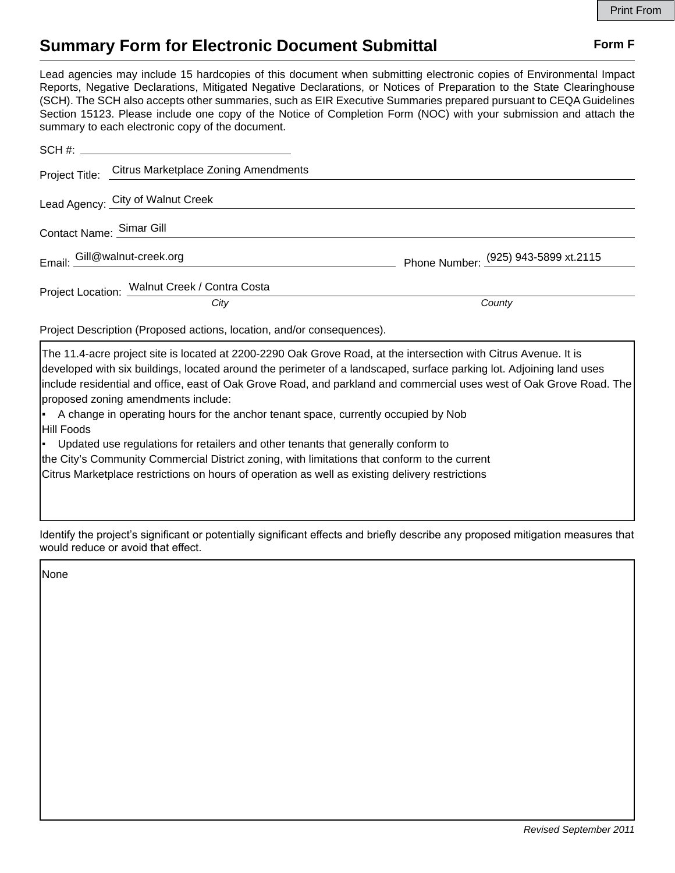## **Summary Form for Electronic Document Submittal Form F Form F**

Lead agencies may include 15 hardcopies of this document when submitting electronic copies of Environmental Impact Reports, Negative Declarations, Mitigated Negative Declarations, or Notices of Preparation to the State Clearinghouse (SCH). The SCH also accepts other summaries, such as EIR Executive Summaries prepared pursuant to CEQA Guidelines Section 15123. Please include one copy of the Notice of Completion Form (NOC) with your submission and attach the summary to each electronic copy of the document.

|                          | Project Title: Citrus Marketplace Zoning Amendments |                                      |
|--------------------------|-----------------------------------------------------|--------------------------------------|
|                          | Lead Agency: City of Walnut Creek                   |                                      |
| Contact Name: Simar Gill |                                                     |                                      |
|                          | Email: Gill@walnut-creek.org                        | Phone Number: (925) 943-5899 xt.2115 |
|                          | Project Location: Walnut Creek / Contra Costa       |                                      |
|                          | City                                                | County                               |

Project Description (Proposed actions, location, and/or consequences).

The 11.4-acre project site is located at 2200-2290 Oak Grove Road, at the intersection with Citrus Avenue. It is developed with six buildings, located around the perimeter of a landscaped, surface parking lot. Adjoining land uses include residential and office, east of Oak Grove Road, and parkland and commercial uses west of Oak Grove Road. The proposed zoning amendments include:

A change in operating hours for the anchor tenant space, currently occupied by Nob Hill Foods

▪ Updated use regulations for retailers and other tenants that generally conform to

the City's Community Commercial District zoning, with limitations that conform to the current

Citrus Marketplace restrictions on hours of operation as well as existing delivery restrictions

Identify the project's significant or potentially significant effects and briefly describe any proposed mitigation measures that would reduce or avoid that effect.

**None**